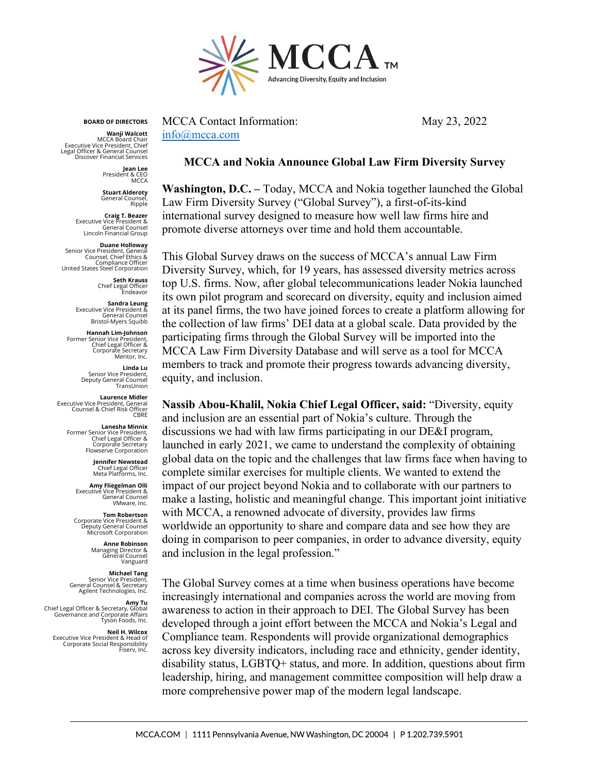

**BOARD OF DIRECTORS**

**Wanji Walcott** MCCA Board Chair Executive Vice President, Chief Legal Officer & General Counsel Discover Financial Ser

> **Jean Lee** President & CEO **MCCA**

**Stuart Alderoty** General Counsel, Ripple

**Craig T. Beazer<br>& Executive Vice President**<br>General Counsel<br>Lincoln Financial Group

**Duane Holloway<br>Senior Vice President, General<br>Counsel, Chief Ethics &** Compliance Officer United States Steel Corporation

**Seth Krauss** Chief Legal Officer Endeavor

**Sandra Leung** Executive Vice President & General Counsel Bristol-Myers Squibb

**Hannah Lim-Johnson** Former Senior Vice President, Chief Legal Officer & Corporate Secretary Meritor, Inc.

> **Linda Lu** Senior Vice President, Deputy General Counsel TransLinion

**Laurence Midler<br>Executive Vice President, General<br>Counsel & Chief Risk Officer CBRE** 

> **Lanesha Minnix** Former Senior Vice President, Chief Legal Officer & Corporate Secretary Flowserve Corporation

> > **Jennifer Newstead** Chief Legal Officer Meta Platforms, Inc.

**Amy Fliegelman Olli** Executive Vice President & General Counsel VMware, Inc.

**Tom Robertson**<br>& Deputy General Counsel<br>Deputy General Counsel<br>Microsoft Corporation

**Anne Robinson** Managing Director & General Counsel Vanguard

**Michael Tang** Senior Vice President, General Counsel & Secretary Agilent Technologies, Inc.

**Amy Tu** Chief Legal Officer & Secretary, Global Governance and Corporate Affairs Tyson Foods, Inc.

**Neil H. Wilcox** Executive Vice President & Head of Corporate Social Responsibility Fiserv, Inc.

MCCA Contact Information: May 23, 2022 [info@mcca.com](mailto:info@mcca.com)

## **MCCA and Nokia Announce Global Law Firm Diversity Survey**

**Washington, D.C. –** Today, MCCA and Nokia together launched the Global Law Firm Diversity Survey ("Global Survey"), a first-of-its-kind international survey designed to measure how well law firms hire and promote diverse attorneys over time and hold them accountable.

This Global Survey draws on the success of MCCA's annual Law Firm Diversity Survey, which, for 19 years, has assessed diversity metrics across top U.S. firms. Now, after global telecommunications leader Nokia launched its own pilot program and scorecard on diversity, equity and inclusion aimed at its panel firms, the two have joined forces to create a platform allowing for the collection of law firms' DEI data at a global scale. Data provided by the participating firms through the Global Survey will be imported into the MCCA Law Firm Diversity Database and will serve as a tool for MCCA members to track and promote their progress towards advancing diversity, equity, and inclusion.

**Nassib Abou-Khalil, Nokia Chief Legal Officer, said:** "Diversity, equity and inclusion are an essential part of Nokia's culture. Through the discussions we had with law firms participating in our DE&I program, launched in early 2021, we came to understand the complexity of obtaining global data on the topic and the challenges that law firms face when having to complete similar exercises for multiple clients. We wanted to extend the impact of our project beyond Nokia and to collaborate with our partners to make a lasting, holistic and meaningful change. This important joint initiative with MCCA, a renowned advocate of diversity, provides law firms worldwide an opportunity to share and compare data and see how they are doing in comparison to peer companies, in order to advance diversity, equity and inclusion in the legal profession."

The Global Survey comes at a time when business operations have become increasingly international and companies across the world are moving from awareness to action in their approach to DEI. The Global Survey has been developed through a joint effort between the MCCA and Nokia's Legal and Compliance team. Respondents will provide organizational demographics across key diversity indicators, including race and ethnicity, gender identity, disability status, LGBTQ+ status, and more. In addition, questions about firm leadership, hiring, and management committee composition will help draw a more comprehensive power map of the modern legal landscape.